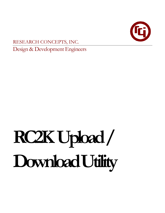

RESEARCH CONCEPTS, INC.

Design & Development Engineers

# **RC2K Upload / Download Utility**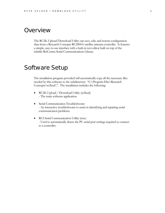## **Overview**

The RC2K Upload/Download Utility can save, edit, and restore configuration data from a Research Concepts RC2000A satellite antenna controller. It features a simple, easy-to-use interface with a built-in text editor built on top of the reliable RciComm Serial Communications Library.

## Software Setup

The installation program provided will automatically copy all the necessary files needed by this software to the subdirectory: "C:\Program Files\Research Concepts\rc2kud\". The installation includes the following:

- RC2K Upload / Download Utility (rc2kud) - The main software application.
- Serial Communication Troubleshooter - An interactive troubleshooter to assist in identifying and repairing serial communication problems.
- RCI Serial Communication Utility (rcsc) - Used to automatically detect the PC serial port settings required to connect to a controller.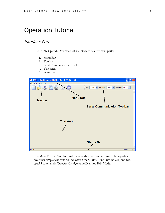## Operation Tutorial

#### Interface Parts

The RC2K Upload/Download Utility interface has five main parts:

- 1. Menu Bar
- 2. Toolbar
- 3. Serial Communication Toolbar
- 4. Text Area
- 5. Status Bar



The Menu Bar and Toolbar hold commands equivalent to those of Notepad or any other simple text editor (New, Save, Open, Print, Print Preview, etc.) and two special commands, Transfer Configuration Data and Edit Mode.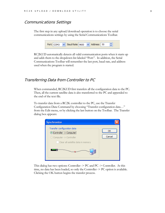#### Communications Settings

The first step in any upload/download operation is to choose the serial communications settings by using the Serial Communications Toolbar.



RC2KUD automatically detects all valid communication ports when it starts up and adds them to the dropdown list labeled "Port:". In addition, the Serial Communications Toolbar will remember the last port, baud rate, and address used when the program is started.

#### Transferring Data from Controller to PC

When commanded, RC2KUD first transfers all the configuration data to the PC. Then, all the current satellite data is also transferred to the PC and appended to the end of the text file.

To transfer data from a RC2K controller to the PC, use the Transfer Configuration Data Command by choosing "Transfer configuration data…" from the Edit menu, or by clicking the last button on the Toolbar. The Transfer dialog box appears:

| Synchronize                                                                     |              |
|---------------------------------------------------------------------------------|--------------|
| Transfer configuration data<br>Controller -> Computer<br>Computer -> Controller | OK<br>Cancel |
| Clear all satellite data in memory                                              |              |

This dialog has two options: Controller -> PC and PC -> Controller. At this time, no data has been loaded, so only the Controller -> PC option is available. Clicking the OK button begins the transfer process.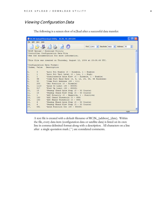### Viewing Configuration Data

The following is a screen shot of rc2kud after a successful data transfer:

|     |                     | RC2K Upload/Download Utility - RC2K 50 081204                                                                          |                                             |  |  |  |
|-----|---------------------|------------------------------------------------------------------------------------------------------------------------|---------------------------------------------|--|--|--|
|     | File Edit View Help |                                                                                                                        |                                             |  |  |  |
|     |                     | Port: $COM3 \rightarrow$<br>Baudrate: $9600 \times$<br>Address: 50                                                     | $\blacktriangle$<br>$\overline{\mathbf{v}}$ |  |  |  |
|     |                     | 'RC2K Upload / Download Utility<br>'Controller Configuration Data File<br>'See the documentation for more information. |                                             |  |  |  |
|     |                     | 'This file was created on Thursday, August 12, 2004 at 23:08.49 UTC.                                                   |                                             |  |  |  |
|     |                     | 'Configuration Data Format:                                                                                            |                                             |  |  |  |
|     |                     | 'Index, Value Description                                                                                              |                                             |  |  |  |
| Ю,  | $\Omega$            | 'Auto Pol Enable (0 - Disable, 1 - Enable)                                                                             |                                             |  |  |  |
| 1,  | $\mathbf{1}$        | 'Auto Pol Vpol Level (0 - Low, 1 - High)                                                                               |                                             |  |  |  |
| 2,  | $\mathbf{1}$        | 'Simultaneous Azim Elev (0 - Disable, 1 - Enable)                                                                      |                                             |  |  |  |
| з,  | 96                  | 'Comm Port Baud Rate (3, 6, 12, 24, 48, 96 Hundreds)                                                                   |                                             |  |  |  |
| Α,  | 50                  | 'Comm Port Address (49 - 111)                                                                                          |                                             |  |  |  |
| 7,  | 200                 | 'Geo Position (0 - Disable)                                                                                            |                                             |  |  |  |
| 8,  | 1113                | 'Azim Cw Limit (30 - 65535)                                                                                            |                                             |  |  |  |
| Ι9, | 517                 | 'Elev Up Limit (30 - 65535)                                                                                            |                                             |  |  |  |
| 10. | 15                  | 'Peakup Chand Azim Step (3 - 50 Counts)                                                                                |                                             |  |  |  |
| 11, | 15                  | 'Peakup Chand Elev Step (3 - 50 Counts)                                                                                |                                             |  |  |  |
| 12, | 1                   | 'AGC Polarity (0 - Negative, 1 - Positive)                                                                             |                                             |  |  |  |
| 13, | 150                 | 'AGC Cband Threshold (0 - 999)                                                                                         |                                             |  |  |  |
| 14. | 150                 | 'AGC Kband Threshold (0 - 999)                                                                                         |                                             |  |  |  |
| 15, | 6                   | 'Peakup Kband Azim Step (3 - 50 Counts)                                                                                |                                             |  |  |  |
| 16. | 6.                  | 'Peakup Kband Elev Step (3 - 50 Counts)                                                                                |                                             |  |  |  |
| 17, | 591                 | 'Azim Position Cnt (30 - 65535)                                                                                        |                                             |  |  |  |
|     |                     |                                                                                                                        |                                             |  |  |  |
|     |                     |                                                                                                                        | <b>NUM</b>                                  |  |  |  |

A text file is created with a default filename of RC2K\_(address)\_(date). Within the file, every data item (configuration data or satellite data) is listed on its own line in comma-delimited format along with a description. All characters on a line after a single quotation mark (') are considered comments.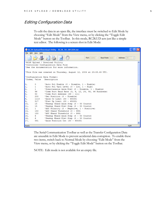#### Editing Configuration Data

To edit the data in an open file, the interface must be switched to Edit Mode by choosing "Edit Mode" from the View menu, or by clicking the "Toggle Edit Mode" button on the Toolbar. In this mode, RC2KUD acts just like a simple text editor. The following is a screen shot in Edit Mode:

| RC2K Upload/Download Utility - RC2K_50_081204.txt                    |                       |  |  |  |
|----------------------------------------------------------------------|-----------------------|--|--|--|
| File Edit View Help                                                  |                       |  |  |  |
| Baud Rate: 9600 V<br>Address: 50                                     | $\frac{\lambda}{\nu}$ |  |  |  |
| 'RC2K Upload / Download Utility                                      |                       |  |  |  |
| 'Controller Configuration Data File                                  |                       |  |  |  |
| 'See the documentation for more information.                         |                       |  |  |  |
|                                                                      |                       |  |  |  |
| 'This file was created on Thursday, August 12, 2004 at 23:08.49 UTC. |                       |  |  |  |
|                                                                      |                       |  |  |  |
| 'Configuration Data Format:                                          |                       |  |  |  |
| 'Index, Value Description                                            |                       |  |  |  |
| I٥.<br>'Auto Pol Enable (0 - Disable, 1 - Enable)<br>0               |                       |  |  |  |
| 'Auto Pol Vpol Level (0 - Low, 1 - High)<br>11,<br>1                 |                       |  |  |  |
| 2,<br>1.<br>'Simultaneous Azim Elev (0 - Disable, 1 - Enable)        |                       |  |  |  |
| 13,<br>96<br>'Comm Port Baud Rate (3, 6, 12, 24, 48, 96 Hundreds)    |                       |  |  |  |
| 50<br>'Comm Port Address (49 - 111)<br>Α,                            |                       |  |  |  |
| 17,<br>200<br>'Geo Position (0 - Disable)                            |                       |  |  |  |
| 18,<br>1113<br>'Azim Cw Limit (30 - 65535)                           |                       |  |  |  |
| Ι9,<br>517<br>'Elev Up Limit (30 - 65535)                            |                       |  |  |  |
| 110.<br>'Peakup Cband Azim Step (3 - 50 Counts)<br>15                |                       |  |  |  |
| 15<br>'Peakup Cband Elev Step (3 - 50 Counts)<br>111.                |                       |  |  |  |
| 112.<br>'AGC Polarity (0 - Negative, 1 - Positive)<br>$\mathbf{1}$   |                       |  |  |  |
| 'AGC Cband Threshold (0 - 999)<br>113.<br>150                        |                       |  |  |  |
| 114,<br>150<br>'AGC Kband Threshold (0 - 999)                        |                       |  |  |  |
| 15,<br>6.<br>'Peakup Kband Azim Step (3 - 50 Counts)                 |                       |  |  |  |
| 6.<br>'Peakup Kband Elev Step (3 - 50 Counts)<br>116.                |                       |  |  |  |
| 'Azim Position Cnt (30 - 65535)<br>117,<br>591                       |                       |  |  |  |
|                                                                      |                       |  |  |  |
| Ready                                                                | <b>NUM</b>            |  |  |  |

The Serial Communication Toolbar as well as the Transfer Configuration Data are unusable in Edit Mode to prevent accidental data corruption. To enable these two items, switch back to Normal Mode by choosing "Edit Mode" from the View menu, or by clicking the "Toggle Edit Mode" button on the Toolbar.

NOTE: Edit mode is not available for an empty file.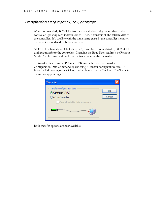#### Transferring Data from PC to Controller

When commanded, RC2KUD first transfers all the configuration data to the controller, updating each index in order. Then, it transfers all the satellite data to the controller. If a satellite with the same name exists in the controller memory, that satellite is updated with the new data.

NOTE: Configuration Data Indices 3, 4, 5 and 6 are not updated by RC2KUD during a transfer to the controller. Changing the Baud Rate, Address, or Remote Mode Enable must be done from the front panel of the controller.

To transfer data from the PC to a RC2K controller, use the Transfer Configuration Data Command by choosing "Transfer configuration data…" from the Edit menu, or by clicking the last button on the Toolbar. The Transfer dialog box appears again:

| <b>Transfer</b>                                                                                                      |              |
|----------------------------------------------------------------------------------------------------------------------|--------------|
| Transfer configuration data<br>Controller -> PC<br>$\bigcirc$ PC -> Controller<br>Clear all satellite data in memory | OK<br>Cancel |

Both transfer options are now available.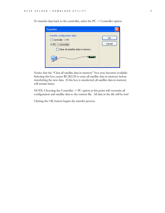| <b>Transfer</b>                                                                                                     |              |
|---------------------------------------------------------------------------------------------------------------------|--------------|
| Transfer configuration data<br>◯ Controller -> PC<br>$\odot$ PC -> Controller<br>Clear all satellite data in memory | ОΚ<br>Cancel |
|                                                                                                                     |              |

To transfer data back to the controller, select the PC -> Controller option.

Notice that the "Clear all satellite data in memory" box now becomes available. Selecting this box causes RC2KUD to erase all satellite data in memory before transferring the new data. If this box is unselected, all satellite data in memory will remain intact.

NOTE: Choosing the Controller -> PC option at this point will overwrite all configuration and satellite data to the current file. All data in the file will be lost!

Clicking the OK button begins the transfer process.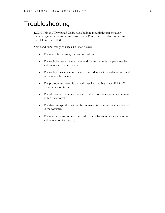## **Troubleshooting**

RC2K Upload / Download Utility has a built in Troubleshooter for easily identifying communication problems. Select Tools, then Troubleshooter from the Help menu to start it.

Some additional things to check are listed below:

- The controller is plugged in and turned on.
- The cable between the computer and the controller is properly installed and connected on both ends.
- The cable is properly constructed in accordance with the diagrams found in the controller manual
- The protocol converter is correctly installed and has power if RS-422 communication is used.
- The address and data rate specified to the software is the same as entered within the controller.
- The data rate specified within the controller is the same data rate entered in the software.
- The communications port specified to the software is not already in use and is functioning properly.